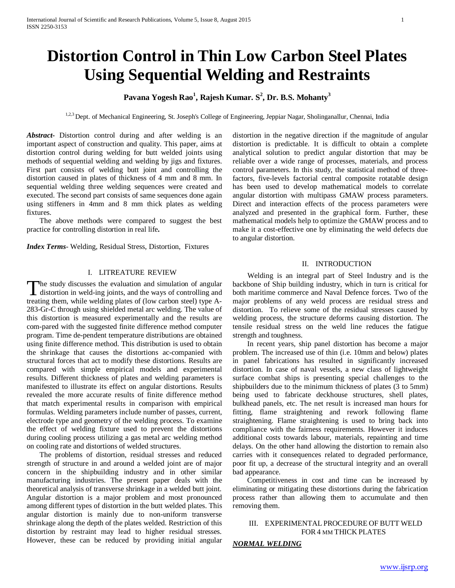## **Distortion Control in Thin Low Carbon Steel Plates Using Sequential Welding and Restraints**

## **Pavana Yogesh Rao<sup>1</sup> , Rajesh Kumar. S<sup>2</sup> , Dr. B.S. Mohanty<sup>3</sup>**

1,2,3 Dept. of Mechanical Engineering, St. Joseph's College of Engineering, Jeppiar Nagar, Sholinganallur, Chennai, India

*Abstract***-** Distortion control during and after welding is an important aspect of construction and quality. This paper, aims at distortion control during welding for butt welded joints using methods of sequential welding and welding by jigs and fixtures. First part consists of welding butt joint and controlling the distortion caused in plates of thickness of 4 mm and 8 mm. In sequential welding three welding sequences were created and executed. The second part consists of same sequences done again using stiffeners in 4mm and 8 mm thick plates as welding fixtures.

 The above methods were compared to suggest the best practice for controlling distortion in real life**.**

*Index Terms*- Welding, Residual Stress, Distortion, Fixtures

#### I. LITREATURE REVIEW

he study discusses the evaluation and simulation of angular The study discusses the evaluation and simulation of angular<br>distortion in weld-ing joints, and the ways of controlling and<br>tending the way of controlling and treating them, while welding plates of (low carbon steel) type A-283-Gr-C through using shielded metal arc welding. The value of this distortion is measured experimentally and the results are com-pared with the suggested finite difference method computer program. Time de-pendent temperature distributions are obtained using finite difference method. This distribution is used to obtain the shrinkage that causes the distortions ac-companied with structural forces that act to modify these distortions. Results are compared with simple empirical models and experimental results. Different thickness of plates and welding parameters is manifested to illustrate its effect on angular distortions. Results revealed the more accurate results of finite difference method that match experimental results in comparison with empirical formulas. Welding parameters include number of passes, current, electrode type and geometry of the welding process. To examine the effect of welding fixture used to prevent the distortions during cooling process utilizing a gas metal arc welding method on cooling rate and distortions of welded structures.

 The problems of distortion, residual stresses and reduced strength of structure in and around a welded joint are of major concern in the shipbuilding industry and in other similar manufacturing industries. The present paper deals with the theoretical analysis of transverse shrinkage in a welded butt joint. Angular distortion is a major problem and most pronounced among different types of distortion in the butt welded plates. This angular distortion is mainly due to non-uniform transverse shrinkage along the depth of the plates welded. Restriction of this distortion by restraint may lead to higher residual stresses. However, these can be reduced by providing initial angular distortion in the negative direction if the magnitude of angular distortion is predictable. It is difficult to obtain a complete analytical solution to predict angular distortion that may be reliable over a wide range of processes, materials, and process control parameters. In this study, the statistical method of threefactors, five-levels factorial central composite rotatable design has been used to develop mathematical models to correlate angular distortion with multipass GMAW process parameters. Direct and interaction effects of the process parameters were analyzed and presented in the graphical form. Further, these mathematical models help to optimize the GMAW process and to make it a cost-effective one by eliminating the weld defects due to angular distortion.

#### II. INTRODUCTION

 Welding is an integral part of Steel Industry and is the backbone of Ship building industry, which in turn is critical for both maritime commerce and Naval Defence forces. Two of the major problems of any weld process are residual stress and distortion. To relieve some of the residual stresses caused by welding process, the structure deforms causing distortion. The tensile residual stress on the weld line reduces the fatigue strength and toughness.

 In recent years, ship panel distortion has become a major problem. The increased use of thin (i.e. 10mm and below) plates in panel fabrications has resulted in significantly increased distortion. In case of naval vessels, a new class of lightweight surface combat ships is presenting special challenges to the shipbuilders due to the minimum thickness of plates (3 to 5mm) being used to fabricate deckhouse structures, shell plates, bulkhead panels, etc. The net result is increased man hours for fitting, flame straightening and rework following flame straightening. Flame straightening is used to bring back into compliance with the fairness requirements. However it induces additional costs towards labour, materials, repainting and time delays. On the other hand allowing the distortion to remain also carries with it consequences related to degraded performance, poor fit up, a decrease of the structural integrity and an overall bad appearance.

 Competitiveness in cost and time can be increased by eliminating or mitigating these distortions during the fabrication process rather than allowing them to accumulate and then removing them.

## III. EXPERIMENTAL PROCEDURE OF BUTT WELD FOR4 MM THICK PLATES

## *NORMAL WELDING*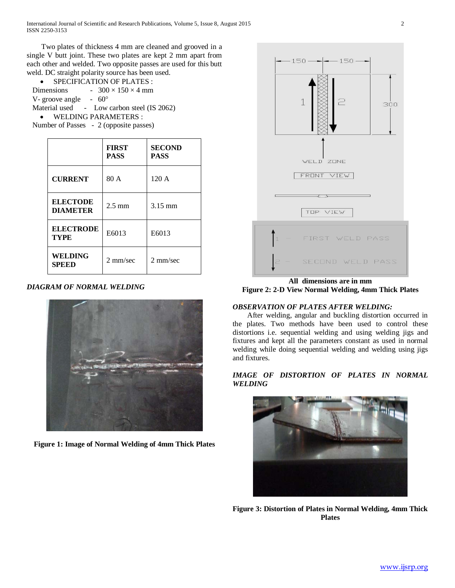Two plates of thickness 4 mm are cleaned and grooved in a single V butt joint. These two plates are kept 2 mm apart from each other and welded. Two opposite passes are used for this butt weld. DC straight polarity source has been used.

• SPECIFICATION OF PLATES : Dimensions -  $300 \times 150 \times 4$  mm V- groove angle -  $60^{\circ}$ Material used - Low carbon steel (IS 2062) • WELDING PARAMETERS : Number of Passes - 2 (opposite passes)

|                                    | <b>FIRST</b><br><b>PASS</b> | <b>SECOND</b><br><b>PASS</b> |
|------------------------------------|-----------------------------|------------------------------|
| <b>CURRENT</b>                     | 80 A                        | 120A                         |
| <b>ELECTODE</b><br><b>DIAMETER</b> | $2.5 \text{ mm}$            | $3.15 \text{ mm}$            |
| <b>ELECTRODE</b><br><b>TYPE</b>    | E6013                       | E6013                        |
| <b>WELDING</b><br><b>SPEED</b>     | $2 \text{ mm/sec}$          | $2 \text{ mm/sec}$           |

## *DIAGRAM OF NORMAL WELDING*



**Figure 1: Image of Normal Welding of 4mm Thick Plates**



**All dimensions are in mm Figure 2: 2-D View Normal Welding, 4mm Thick Plates**

## *OBSERVATION OF PLATES AFTER WELDING:*

 After welding, angular and buckling distortion occurred in the plates. Two methods have been used to control these distortions i.e. sequential welding and using welding jigs and fixtures and kept all the parameters constant as used in normal welding while doing sequential welding and welding using jigs and fixtures.

## *IMAGE OF DISTORTION OF PLATES IN NORMAL WELDING*



**Figure 3: Distortion of Plates in Normal Welding, 4mm Thick Plates**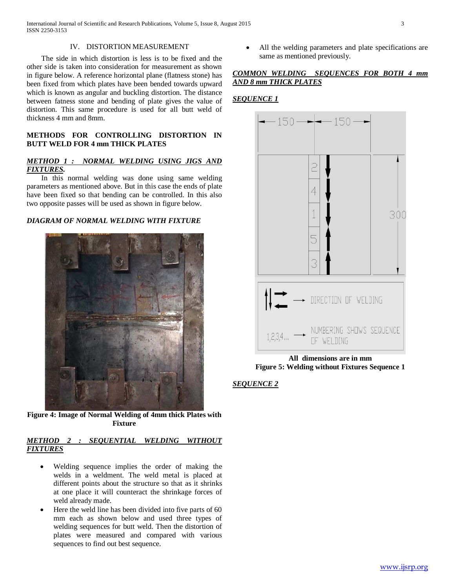International Journal of Scientific and Research Publications, Volume 5, Issue 8, August 2015 3 ISSN 2250-3153

#### IV. DISTORTION MEASUREMENT

 The side in which distortion is less is to be fixed and the other side is taken into consideration for measurement as shown in figure below. A reference horizontal plane (flatness stone) has been fixed from which plates have been bended towards upward which is known as angular and buckling distortion. The distance between fatness stone and bending of plate gives the value of distortion. This same procedure is used for all butt weld of thickness 4 mm and 8mm.

## **METHODS FOR CONTROLLING DISTORTION IN BUTT WELD FOR 4 mm THICK PLATES**

## *METHOD 1 : NORMAL WELDING USING JIGS AND FIXTURES.*

 In this normal welding was done using same welding parameters as mentioned above. But in this case the ends of plate have been fixed so that bending can be controlled. In this also two opposite passes will be used as shown in figure below.

## *DIAGRAM OF NORMAL WELDING WITH FIXTURE*



**Figure 4: Image of Normal Welding of 4mm thick Plates with Fixture**

## *METHOD 2 : SEQUENTIAL WELDING WITHOUT FIXTURES*

- Welding sequence implies the order of making the welds in a weldment. The weld metal is placed at different points about the structure so that as it shrinks at one place it will counteract the shrinkage forces of weld already made.
- Here the weld line has been divided into five parts of 60 mm each as shown below and used three types of welding sequences for butt weld. Then the distortion of plates were measured and compared with various sequences to find out best sequence.

All the welding parameters and plate specifications are same as mentioned previously.

## *COMMON WELDING SEQUENCES FOR BOTH 4 mm AND 8 mm THICK PLATES*

## *SEQUENCE 1*



**All dimensions are in mm Figure 5: Welding without Fixtures Sequence 1**

## *SEQUENCE 2*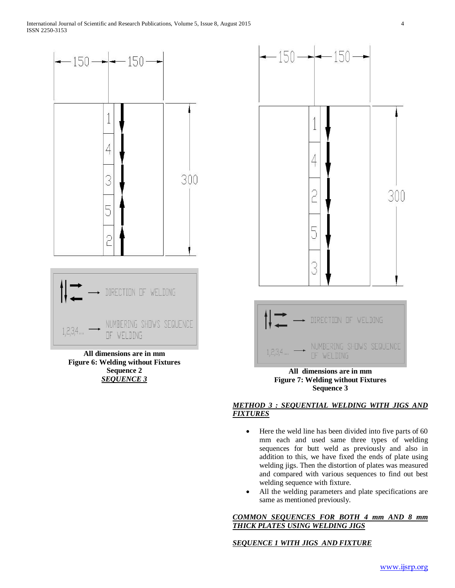

**All dimensions are in mm Figure 6: Welding without Fixtures Sequence 2** *SEQUENCE 3*



# **Sequence 3**

## *METHOD 3 : SEQUENTIAL WELDING WITH JIGS AND FIXTURES*

- Here the weld line has been divided into five parts of 60 mm each and used same three types of welding sequences for butt weld as previously and also in addition to this, we have fixed the ends of plate using welding jigs. Then the distortion of plates was measured and compared with various sequences to find out best welding sequence with fixture.
- All the welding parameters and plate specifications are same as mentioned previously.

## *COMMON SEQUENCES FOR BOTH 4 mm AND 8 mm THICK PLATES USING WELDING JIGS*

## *SEQUENCE 1 WITH JIGS AND FIXTURE*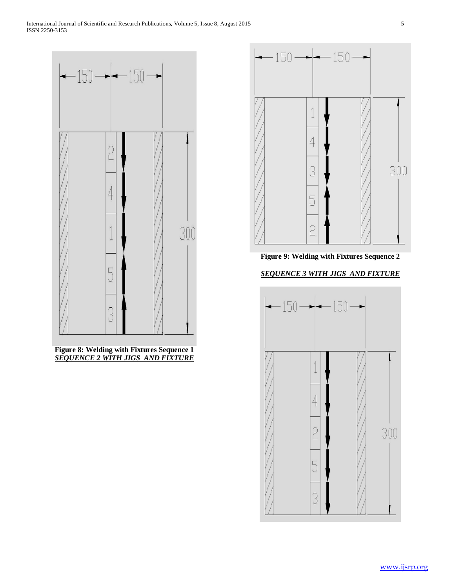

**Figure 8: Welding with Fixtures Sequence 1** *SEQUENCE 2 WITH JIGS AND FIXTURE*



**Figure 9: Welding with Fixtures Sequence 2**

## *SEQUENCE 3 WITH JIGS AND FIXTURE*

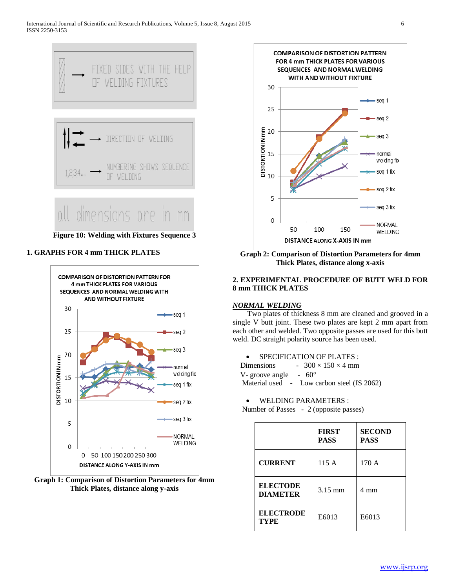

**Figure 10: Welding with Fixtures Sequence 3**

## **1. GRAPHS FOR 4 mm THICK PLATES**







**Graph 2: Comparison of Distortion Parameters for 4mm Thick Plates, distance along x-axis**

## **2. EXPERIMENTAL PROCEDURE OF BUTT WELD FOR 8 mm THICK PLATES**

## *NORMAL WELDING*

 Two plates of thickness 8 mm are cleaned and grooved in a single V butt joint. These two plates are kept 2 mm apart from each other and welded. Two opposite passes are used for this butt weld. DC straight polarity source has been used.

• SPECIFICATION OF PLATES :

Dimensions -  $300 \times 150 \times 4$  mm V- groove angle  $-60^{\circ}$ Material used - Low carbon steel (IS 2062)

• WELDING PARAMETERS :

Number of Passes - 2 (opposite passes)

|                                    | <b>FIRST</b><br><b>PASS</b> | <b>SECOND</b><br><b>PASS</b> |
|------------------------------------|-----------------------------|------------------------------|
| <b>CURRENT</b>                     | 115 A                       | 170 A                        |
| <b>ELECTODE</b><br><b>DIAMETER</b> | $3.15 \text{ mm}$           | 4 mm                         |
| <b>ELECTRODE</b><br><b>TYPE</b>    | E6013                       | E6013                        |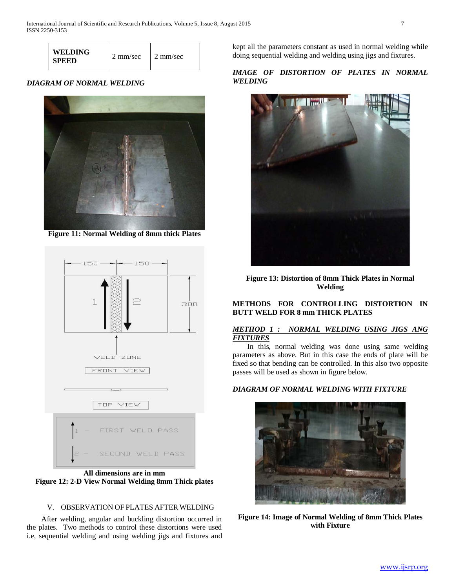| <b>WELDING</b><br><b>SPEED</b> | 2 mm/sec | 2 mm/sec |
|--------------------------------|----------|----------|
|--------------------------------|----------|----------|

## *DIAGRAM OF NORMAL WELDING*



**Figure 11: Normal Welding of 8mm thick Plates**



**All dimensions are in mm Figure 12: 2-D View Normal Welding 8mm Thick plates**

#### V. OBSERVATION OF PLATES AFTER WELDING

 After welding, angular and buckling distortion occurred in the plates. Two methods to control these distortions were used i.e, sequential welding and using welding jigs and fixtures and kept all the parameters constant as used in normal welding while doing sequential welding and welding using jigs and fixtures.

## *IMAGE OF DISTORTION OF PLATES IN NORMAL WELDING*



**Figure 13: Distortion of 8mm Thick Plates in Normal Welding**

## **METHODS FOR CONTROLLING DISTORTION IN BUTT WELD FOR 8 mm THICK PLATES**

#### *METHOD 1 : NORMAL WELDING USING JIGS ANG FIXTURES*

 In this, normal welding was done using same welding parameters as above. But in this case the ends of plate will be fixed so that bending can be controlled. In this also two opposite passes will be used as shown in figure below.

#### *DIAGRAM OF NORMAL WELDING WITH FIXTURE*



**Figure 14: Image of Normal Welding of 8mm Thick Plates with Fixture**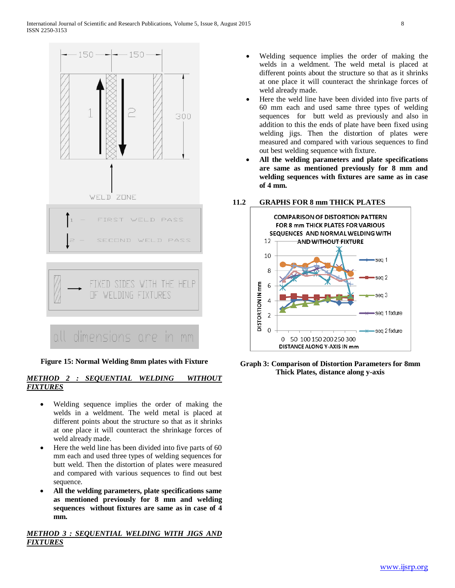

## **Figure 15: Normal Welding 8mm plates with Fixture**

## *METHOD 2 : SEQUENTIAL WELDING WITHOUT FIXTURES*

- Welding sequence implies the order of making the welds in a weldment. The weld metal is placed at different points about the structure so that as it shrinks at one place it will counteract the shrinkage forces of weld already made.
- Here the weld line has been divided into five parts of 60 mm each and used three types of welding sequences for butt weld. Then the distortion of plates were measured and compared with various sequences to find out best sequence.
- **All the welding parameters, plate specifications same as mentioned previously for 8 mm and welding sequences without fixtures are same as in case of 4 mm.**

*METHOD 3 : SEQUENTIAL WELDING WITH JIGS AND FIXTURES*

- Welding sequence implies the order of making the welds in a weldment. The weld metal is placed at different points about the structure so that as it shrinks at one place it will counteract the shrinkage forces of weld already made.
- Here the weld line have been divided into five parts of 60 mm each and used same three types of welding sequences for butt weld as previously and also in addition to this the ends of plate have been fixed using welding jigs. Then the distortion of plates were measured and compared with various sequences to find out best welding sequence with fixture.
- **All the welding parameters and plate specifications are same as mentioned previously for 8 mm and welding sequences with fixtures are same as in case of 4 mm.**

## **11.2 GRAPHS FOR 8 mm THICK PLATES**



**Graph 3: Comparison of Distortion Parameters for 8mm Thick Plates, distance along y-axis**